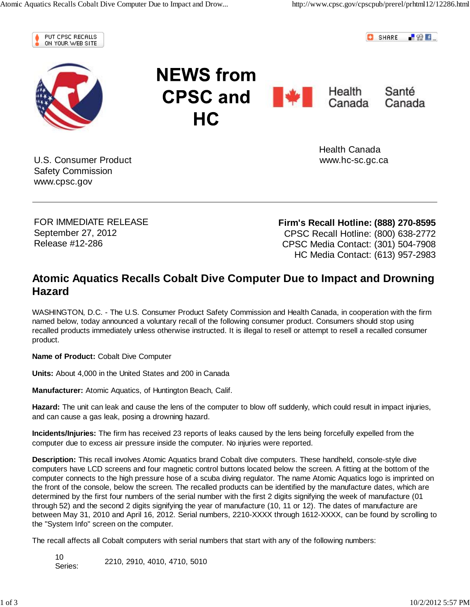

**C** SHARE  $-82$  F



**NEWS from CPSC and We Health** Canada Santé Canada **HC** 

U.S. Consumer Product Safety Commission www.cpsc.gov

 Health Canada www.hc-sc.gc.ca

FOR IMMEDIATE RELEASE September 27, 2012 Release #12-286

**Firm's Recall Hotline: (888) 270-8595** CPSC Recall Hotline: (800) 638-2772 CPSC Media Contact: (301) 504-7908 HC Media Contact: (613) 957-2983

## **Atomic Aquatics Recalls Cobalt Dive Computer Due to Impact and Drowning Hazard**

WASHINGTON, D.C. - The U.S. Consumer Product Safety Commission and Health Canada, in cooperation with the firm named below, today announced a voluntary recall of the following consumer product. Consumers should stop using recalled products immediately unless otherwise instructed. It is illegal to resell or attempt to resell a recalled consumer product.

**Name of Product:** Cobalt Dive Computer

**Units:** About 4,000 in the United States and 200 in Canada

**Manufacturer:** Atomic Aquatics, of Huntington Beach, Calif.

**Hazard:** The unit can leak and cause the lens of the computer to blow off suddenly, which could result in impact injuries, and can cause a gas leak, posing a drowning hazard.

**Incidents/Injuries:** The firm has received 23 reports of leaks caused by the lens being forcefully expelled from the computer due to excess air pressure inside the computer. No injuries were reported.

**Description:** This recall involves Atomic Aquatics brand Cobalt dive computers. These handheld, console-style dive computers have LCD screens and four magnetic control buttons located below the screen. A fitting at the bottom of the computer connects to the high pressure hose of a scuba diving regulator. The name Atomic Aquatics logo is imprinted on the front of the console, below the screen. The recalled products can be identified by the manufacture dates, which are determined by the first four numbers of the serial number with the first 2 digits signifying the week of manufacture (01 through 52) and the second 2 digits signifying the year of manufacture (10, 11 or 12). The dates of manufacture are between May 31, 2010 and April 16, 2012. Serial numbers, 2210-XXXX through 1612-XXXX, can be found by scrolling to the "System Info" screen on the computer.

The recall affects all Cobalt computers with serial numbers that start with any of the following numbers:

10 Series: 2210, 2910, 4010, 4710, 5010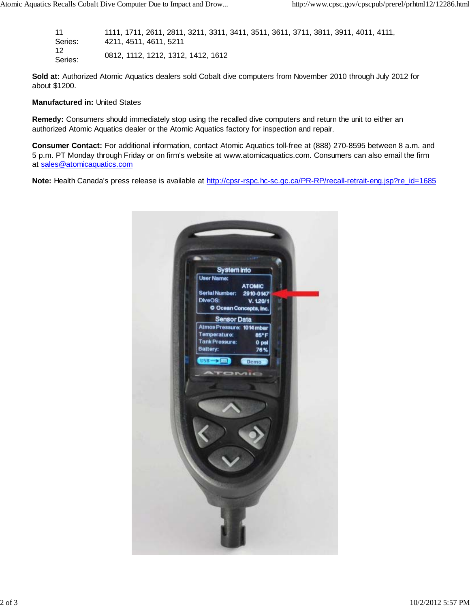11 Series: 1111, 1711, 2611, 2811, 3211, 3311, 3411, 3511, 3611, 3711, 3811, 3911, 4011, 4111, 4211, 4511, 4611, 5211 12 Series: 0812, 1112, 1212, 1312, 1412, 1612

**Sold at:** Authorized Atomic Aquatics dealers sold Cobalt dive computers from November 2010 through July 2012 for about \$1200.

## **Manufactured in:** United States

**Remedy:** Consumers should immediately stop using the recalled dive computers and return the unit to either an authorized Atomic Aquatics dealer or the Atomic Aquatics factory for inspection and repair.

**Consumer Contact:** For additional information, contact Atomic Aquatics toll-free at (888) 270-8595 between 8 a.m. and 5 p.m. PT Monday through Friday or on firm's website at www.atomicaquatics.com. Consumers can also email the firm at sales@atomicaquatics.com

**Note:** Health Canada's press release is available at http://cpsr-rspc.hc-sc.gc.ca/PR-RP/recall-retrait-eng.jsp?re\_id=1685